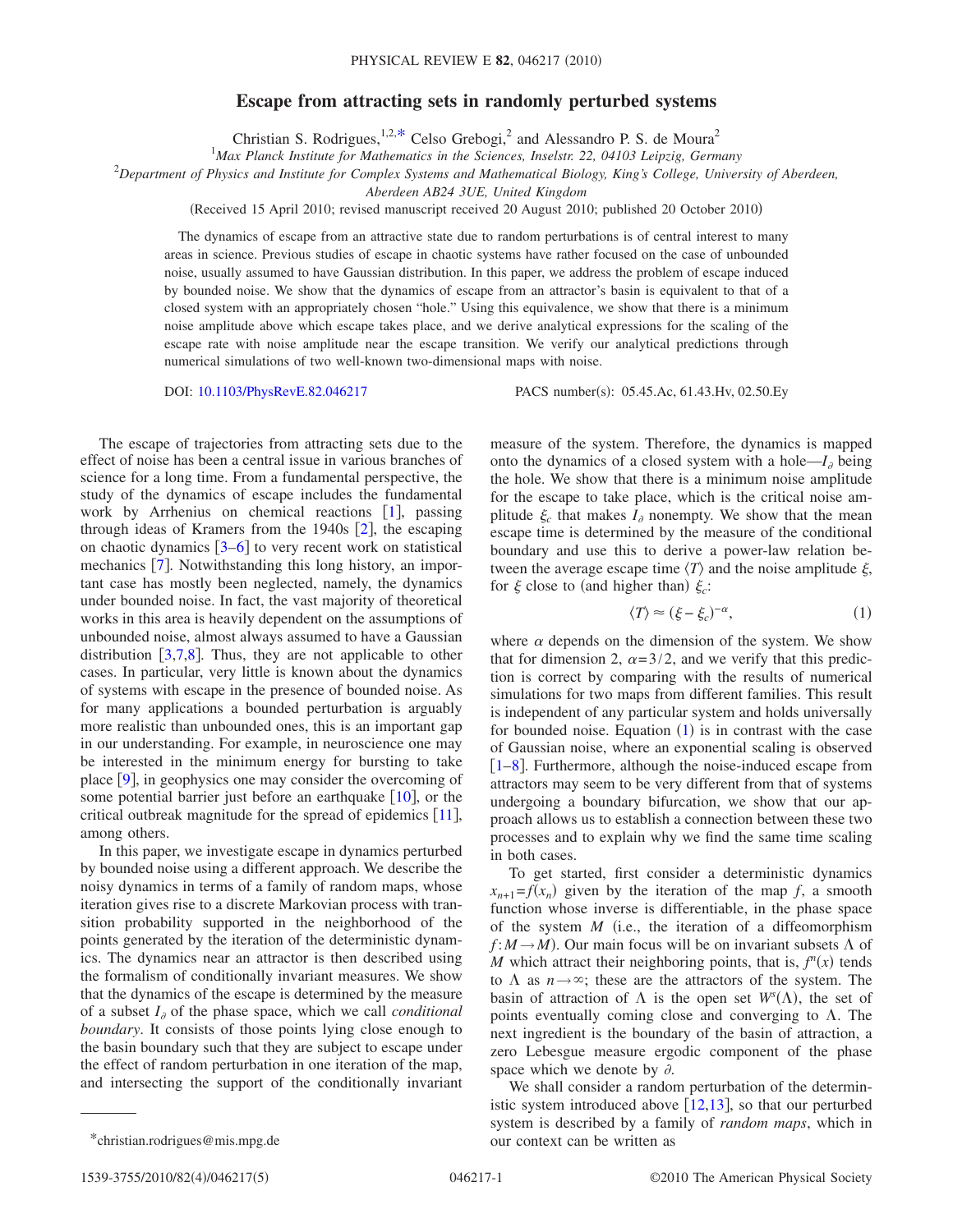## **Escape from attracting sets in randomly perturbed systems**

Christian S. Rodrigues,  $1,2,*$  $1,2,*$  Celso Grebogi,<sup>2</sup> and Alessandro P. S. de Moura<sup>2</sup>

<sup>1</sup>Max Planck Institute for Mathematics in the Sciences, Inselstr. 22, 04103 Leipzig, Germany

2 *Department of Physics and Institute for Complex Systems and Mathematical Biology, King's College, University of Aberdeen,*

*Aberdeen AB24 3UE, United Kingdom*

(Received 15 April 2010; revised manuscript received 20 August 2010; published 20 October 2010)

The dynamics of escape from an attractive state due to random perturbations is of central interest to many areas in science. Previous studies of escape in chaotic systems have rather focused on the case of unbounded noise, usually assumed to have Gaussian distribution. In this paper, we address the problem of escape induced by bounded noise. We show that the dynamics of escape from an attractor's basin is equivalent to that of a closed system with an appropriately chosen "hole." Using this equivalence, we show that there is a minimum noise amplitude above which escape takes place, and we derive analytical expressions for the scaling of the escape rate with noise amplitude near the escape transition. We verify our analytical predictions through numerical simulations of two well-known two-dimensional maps with noise.

DOI: [10.1103/PhysRevE.82.046217](http://dx.doi.org/10.1103/PhysRevE.82.046217)

PACS number(s): 05.45.Ac, 61.43.Hv, 02.50.Ey

The escape of trajectories from attracting sets due to the effect of noise has been a central issue in various branches of science for a long time. From a fundamental perspective, the study of the dynamics of escape includes the fundamental work by Arrhenius on chemical reactions  $[1]$  $[1]$  $[1]$ , passing through ideas of Kramers from the 1940s  $[2]$  $[2]$  $[2]$ , the escaping on chaotic dynamics  $[3-6]$  $[3-6]$  $[3-6]$  to very recent work on statistical mechanics  $\left[7\right]$  $\left[7\right]$  $\left[7\right]$ . Notwithstanding this long history, an important case has mostly been neglected, namely, the dynamics under bounded noise. In fact, the vast majority of theoretical works in this area is heavily dependent on the assumptions of unbounded noise, almost always assumed to have a Gaussian distribution  $\left[3,7,8\right]$  $\left[3,7,8\right]$  $\left[3,7,8\right]$  $\left[3,7,8\right]$  $\left[3,7,8\right]$ . Thus, they are not applicable to other cases. In particular, very little is known about the dynamics of systems with escape in the presence of bounded noise. As for many applications a bounded perturbation is arguably more realistic than unbounded ones, this is an important gap in our understanding. For example, in neuroscience one may be interested in the minimum energy for bursting to take place  $[9]$  $[9]$  $[9]$ , in geophysics one may consider the overcoming of some potential barrier just before an earthquake  $[10]$  $[10]$  $[10]$ , or the critical outbreak magnitude for the spread of epidemics  $[11]$  $[11]$  $[11]$ , among others.

In this paper, we investigate escape in dynamics perturbed by bounded noise using a different approach. We describe the noisy dynamics in terms of a family of random maps, whose iteration gives rise to a discrete Markovian process with transition probability supported in the neighborhood of the points generated by the iteration of the deterministic dynamics. The dynamics near an attractor is then described using the formalism of conditionally invariant measures. We show that the dynamics of the escape is determined by the measure of a subset  $I_{\partial}$  of the phase space, which we call *conditional boundary*. It consists of those points lying close enough to the basin boundary such that they are subject to escape under the effect of random perturbation in one iteration of the map, and intersecting the support of the conditionally invariant

measure of the system. Therefore, the dynamics is mapped onto the dynamics of a closed system with a hole— $I_{\theta}$  being the hole. We show that there is a minimum noise amplitude for the escape to take place, which is the critical noise amplitude  $\xi_c$  that makes  $I_a$  nonempty. We show that the mean escape time is determined by the measure of the conditional boundary and use this to derive a power-law relation between the average escape time  $\langle T \rangle$  and the noise amplitude  $\xi$ , for  $\xi$  close to (and higher than)  $\xi_c$ :

$$
\langle T \rangle \approx (\xi - \xi_c)^{-\alpha},\tag{1}
$$

<span id="page-0-1"></span>where  $\alpha$  depends on the dimension of the system. We show that for dimension 2,  $\alpha = 3/2$ , and we verify that this prediction is correct by comparing with the results of numerical simulations for two maps from different families. This result is independent of any particular system and holds universally for bounded noise. Equation  $(1)$  $(1)$  $(1)$  is in contrast with the case of Gaussian noise, where an exponential scaling is observed  $\lceil 1-8 \rceil$  $\lceil 1-8 \rceil$  $\lceil 1-8 \rceil$ . Furthermore, although the noise-induced escape from attractors may seem to be very different from that of systems undergoing a boundary bifurcation, we show that our approach allows us to establish a connection between these two processes and to explain why we find the same time scaling in both cases.

To get started, first consider a deterministic dynamics  $x_{n+1} = f(x_n)$  given by the iteration of the map *f*, a smooth function whose inverse is differentiable, in the phase space of the system *M* i.e., the iteration of a diffeomorphism  $f: M \to M$ ). Our main focus will be on invariant subsets  $\Lambda$  of *M* which attract their neighboring points, that is,  $f^n(x)$  tends to  $\Lambda$  as  $n \rightarrow \infty$ ; these are the attractors of the system. The basin of attraction of  $\Lambda$  is the open set  $W<sup>s</sup>(\Lambda)$ , the set of points eventually coming close and converging to  $\Lambda$ . The next ingredient is the boundary of the basin of attraction, a zero Lebesgue measure ergodic component of the phase space which we denote by  $\partial$ .

<span id="page-0-0"></span>We shall consider a random perturbation of the deterministic system introduced above  $[12,13]$  $[12,13]$  $[12,13]$  $[12,13]$ , so that our perturbed system is described by a family of *random maps*, which in \*christian.rodrigues@mis.mpg.de our context can be written as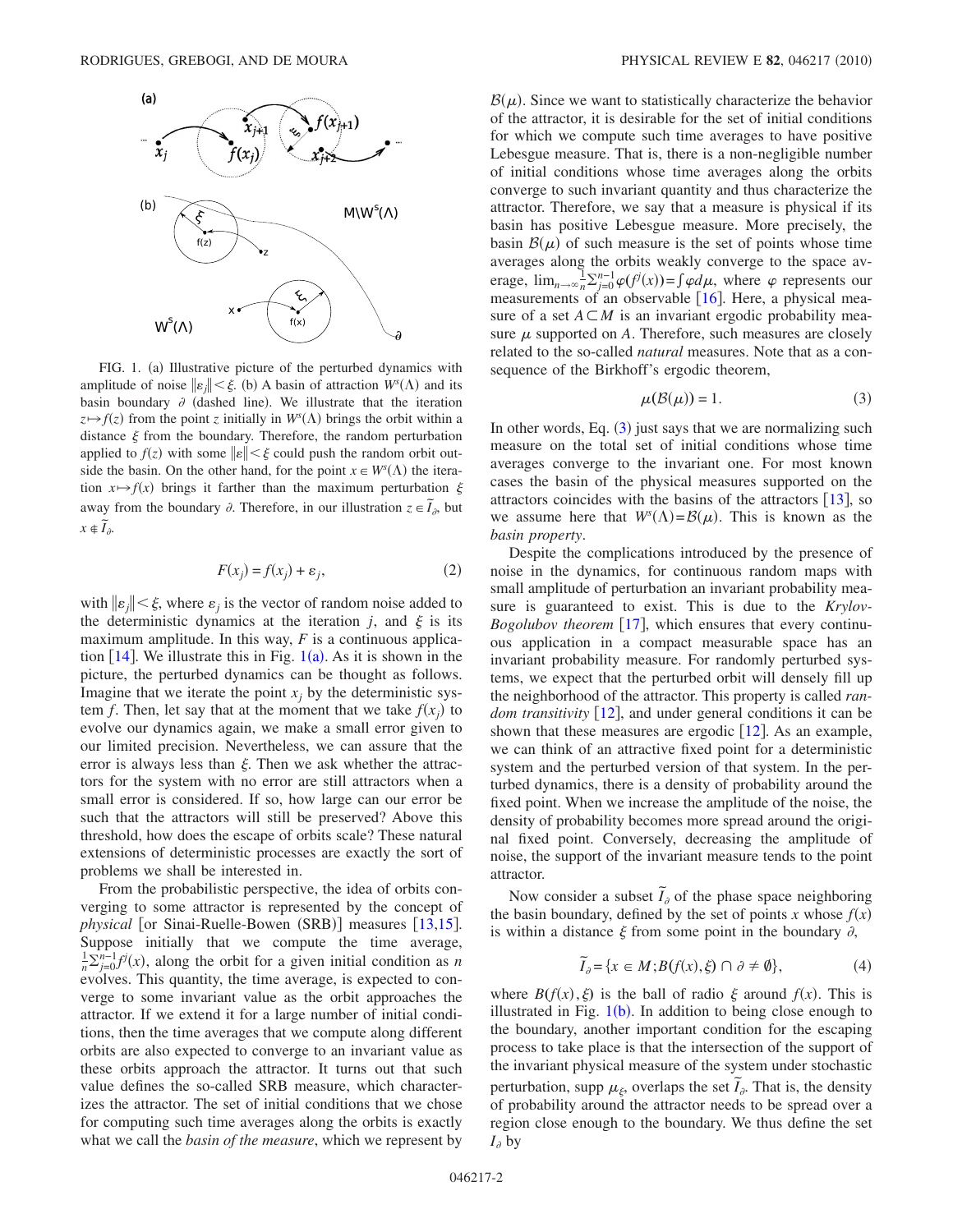<span id="page-1-0"></span>

FIG. 1. (a) Illustrative picture of the perturbed dynamics with amplitude of noise  $\|\varepsilon_j\| < \xi$ . (b) A basin of attraction  $W^s(\Lambda)$  and its basin boundary  $\partial$  (dashed line). We illustrate that the iteration  $z \mapsto f(z)$  from the point *z* initially in  $W<sup>s</sup>(\Lambda)$  brings the orbit within a distance  $\xi$  from the boundary. Therefore, the random perturbation applied to  $f(z)$  with some  $||\varepsilon|| < \xi$  could push the random orbit outside the basin. On the other hand, for the point  $x \in W<sup>s</sup>(\Lambda)$  the iteration  $x \mapsto f(x)$  brings it farther than the maximum perturbation  $\xi$ away from the boundary  $\partial$ . Therefore, in our illustration  $z \in \tilde{I}_{\partial}$ , but  $x \notin \widetilde{I}_{\partial}$ .

$$
F(x_j) = f(x_j) + \varepsilon_j,\tag{2}
$$

with  $\|\varepsilon_i\| \leq \xi$ , where  $\varepsilon_i$  is the vector of random noise added to the deterministic dynamics at the iteration *j*, and  $\xi$  is its maximum amplitude. In this way, *F* is a continuous application  $[14]$  $[14]$  $[14]$ . We illustrate this in Fig.  $1(a)$  $1(a)$ . As it is shown in the picture, the perturbed dynamics can be thought as follows. Imagine that we iterate the point  $x_i$  by the deterministic system *f*. Then, let say that at the moment that we take  $f(x_j)$  to evolve our dynamics again, we make a small error given to our limited precision. Nevertheless, we can assure that the error is always less than  $\xi$ . Then we ask whether the attractors for the system with no error are still attractors when a small error is considered. If so, how large can our error be such that the attractors will still be preserved? Above this threshold, how does the escape of orbits scale? These natural extensions of deterministic processes are exactly the sort of problems we shall be interested in.

From the probabilistic perspective, the idea of orbits converging to some attractor is represented by the concept of physical [or Sinai-Ruelle-Bowen (SRB)] measures [[13](#page-4-10)[,15](#page-4-12)]. Suppose initially that we compute the time average,  $\frac{1}{n} \sum_{j=0}^{n-1} f^j(x)$ , along the orbit for a given initial condition as *n* evolves. This quantity, the time average, is expected to converge to some invariant value as the orbit approaches the attractor. If we extend it for a large number of initial conditions, then the time averages that we compute along different orbits are also expected to converge to an invariant value as these orbits approach the attractor. It turns out that such value defines the so-called SRB measure, which characterizes the attractor. The set of initial conditions that we chose for computing such time averages along the orbits is exactly what we call the *basin of the measure*, which we represent by

 $\mathcal{B}(\mu)$ . Since we want to statistically characterize the behavior of the attractor, it is desirable for the set of initial conditions for which we compute such time averages to have positive Lebesgue measure. That is, there is a non-negligible number of initial conditions whose time averages along the orbits converge to such invariant quantity and thus characterize the attractor. Therefore, we say that a measure is physical if its basin has positive Lebesgue measure. More precisely, the basin  $B(\mu)$  of such measure is the set of points whose time averages along the orbits weakly converge to the space average,  $\lim_{n \to \infty} \frac{1}{n} \sum_{j=0}^{n-1} \varphi(f^j(x)) = \int \varphi d\mu$ , where  $\varphi$  represents our measurements of an observable  $[16]$  $[16]$  $[16]$ . Here, a physical measure of a set  $A \subset M$  is an invariant ergodic probability measure  $\mu$  supported on  $A$ . Therefore, such measures are closely related to the so-called *natural* measures. Note that as a consequence of the Birkhoff's ergodic theorem,

$$
\mu(\mathcal{B}(\mu)) = 1. \tag{3}
$$

<span id="page-1-1"></span>In other words, Eq.  $(3)$  $(3)$  $(3)$  just says that we are normalizing such measure on the total set of initial conditions whose time averages converge to the invariant one. For most known cases the basin of the physical measures supported on the attractors coincides with the basins of the attractors  $[13]$  $[13]$  $[13]$ , so we assume here that  $W^s(\Lambda) = \mathcal{B}(\mu)$ . This is known as the *basin property*.

Despite the complications introduced by the presence of noise in the dynamics, for continuous random maps with small amplitude of perturbation an invariant probability measure is guaranteed to exist. This is due to the *Krylov-Bogolubov theorem* [[17](#page-4-14)], which ensures that every continuous application in a compact measurable space has an invariant probability measure. For randomly perturbed systems, we expect that the perturbed orbit will densely fill up the neighborhood of the attractor. This property is called *random transitivity*  $\lceil 12 \rceil$  $\lceil 12 \rceil$  $\lceil 12 \rceil$ , and under general conditions it can be shown that these measures are ergodic  $\lceil 12 \rceil$  $\lceil 12 \rceil$  $\lceil 12 \rceil$ . As an example, we can think of an attractive fixed point for a deterministic system and the perturbed version of that system. In the perturbed dynamics, there is a density of probability around the fixed point. When we increase the amplitude of the noise, the density of probability becomes more spread around the original fixed point. Conversely, decreasing the amplitude of noise, the support of the invariant measure tends to the point attractor.

Now consider a subset  $\tilde{I}_{\theta}$  of the phase space neighboring the basin boundary, defined by the set of points *x* whose  $f(x)$ is within a distance  $\xi$  from some point in the boundary  $\partial$ ,

$$
\widetilde{I}_{\partial} = \{ x \in M; B(f(x), \xi) \cap \partial \neq \emptyset \},\tag{4}
$$

where  $B(f(x), \xi)$  is the ball of radio  $\xi$  around  $f(x)$ . This is illustrated in Fig.  $1(b)$  $1(b)$ . In addition to being close enough to the boundary, another important condition for the escaping process to take place is that the intersection of the support of the invariant physical measure of the system under stochastic perturbation, supp  $\mu_{\xi}$ , overlaps the set  $\tilde{I}_{\theta}$ . That is, the density of probability around the attractor needs to be spread over a region close enough to the boundary. We thus define the set  $I_{\partial}$  by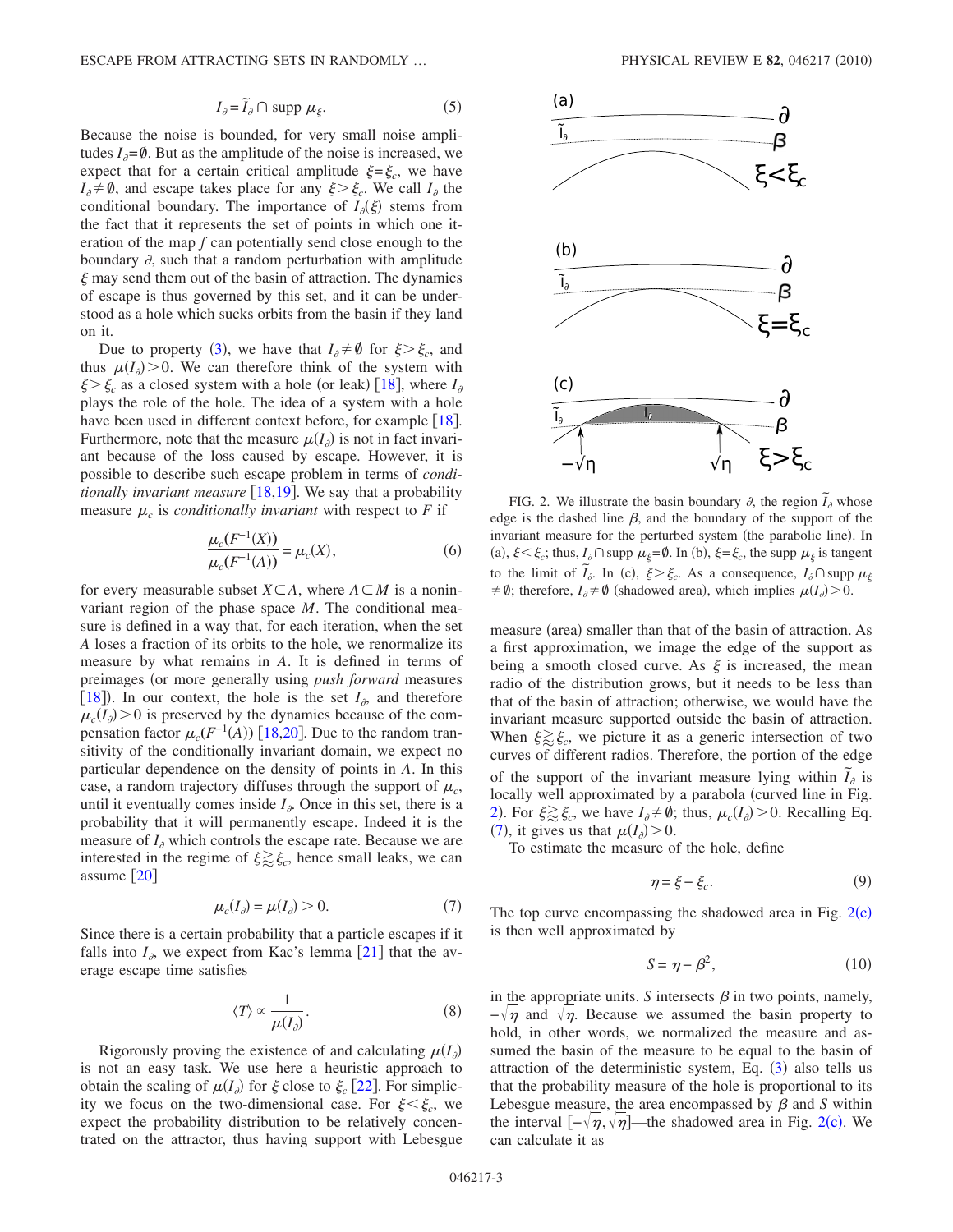$$
I_{\partial} = \widetilde{I}_{\partial} \cap \text{ supp } \mu_{\xi}. \tag{5}
$$

Because the noise is bounded, for very small noise amplitudes  $I_{\partial} = \emptyset$ . But as the amplitude of the noise is increased, we expect that for a certain critical amplitude  $\xi = \xi_c$ , we have  $I_{\partial} \neq \emptyset$ , and escape takes place for any  $\xi > \xi_c$ . We call  $I_{\partial}$  the conditional boundary. The importance of  $I_{\partial}(\xi)$  stems from the fact that it represents the set of points in which one iteration of the map *f* can potentially send close enough to the boundary  $\partial$ , such that a random perturbation with amplitude  $\xi$  may send them out of the basin of attraction. The dynamics of escape is thus governed by this set, and it can be understood as a hole which sucks orbits from the basin if they land on it.

Due to property ([3](#page-1-1)), we have that  $I_{\partial} \neq \emptyset$  for  $\xi > \xi_c$ , and thus  $\mu(I_{\partial}) > 0$ . We can therefore think of the system with  $\xi > \xi_c$  as a closed system with a hole (or leak) [[18](#page-4-15)], where  $I_{\partial}$ plays the role of the hole. The idea of a system with a hole have been used in different context before, for example  $\lceil 18 \rceil$  $\lceil 18 \rceil$  $\lceil 18 \rceil$ . Furthermore, note that the measure  $\mu(I_{\partial})$  is not in fact invariant because of the loss caused by escape. However, it is possible to describe such escape problem in terms of *conditionally invariant measure*  $[18,19]$  $[18,19]$  $[18,19]$  $[18,19]$ . We say that a probability measure  $\mu_c$  is *conditionally invariant* with respect to *F* if

$$
\frac{\mu_c(F^{-1}(X))}{\mu_c(F^{-1}(A))} = \mu_c(X),\tag{6}
$$

for every measurable subset  $X \subseteq A$ , where  $A \subseteq M$  is a noninvariant region of the phase space *M*. The conditional measure is defined in a way that, for each iteration, when the set *A* loses a fraction of its orbits to the hole, we renormalize its measure by what remains in *A*. It is defined in terms of preimages (or more generally using *push forward* measures [[18](#page-4-15)]). In our context, the hole is the set  $I_{\partial}$ , and therefore  $\mu_c(I_{\partial}) > 0$  is preserved by the dynamics because of the compensation factor  $\mu_c(F^{-1}(A))$  [[18](#page-4-15)[,20](#page-4-17)]. Due to the random transitivity of the conditionally invariant domain, we expect no particular dependence on the density of points in *A*. In this case, a random trajectory diffuses through the support of  $\mu_c$ , until it eventually comes inside  $I_{\partial}$ . Once in this set, there is a probability that it will permanently escape. Indeed it is the measure of  $I_a$  which controls the escape rate. Because we are interested in the regime of  $\xi \gtrsim \xi_c$ , hence small leaks, we can assume  $\lceil 20 \rceil$  $\lceil 20 \rceil$  $\lceil 20 \rceil$ 

$$
\mu_c(I_{\partial}) = \mu(I_{\partial}) > 0. \tag{7}
$$

<span id="page-2-2"></span><span id="page-2-1"></span>Since there is a certain probability that a particle escapes if it falls into  $I_{\delta}$ , we expect from Kac's lemma [[21](#page-4-18)] that the average escape time satisfies

$$
\langle T \rangle \propto \frac{1}{\mu(I_{\partial})}.\tag{8}
$$

Rigorously proving the existence of and calculating  $\mu(I_{\partial})$ is not an easy task. We use here a heuristic approach to obtain the scaling of  $\mu(I_{\partial})$  for  $\xi$  close to  $\xi_c$  [[22](#page-4-19)]. For simplicity we focus on the two-dimensional case. For  $\xi < \xi_c$ , we expect the probability distribution to be relatively concentrated on the attractor, thus having support with Lebesgue

<span id="page-2-0"></span>

FIG. 2. We illustrate the basin boundary  $\partial$ , the region  $\tilde{I}_{\partial}$  whose edge is the dashed line  $\beta$ , and the boundary of the support of the invariant measure for the perturbed system (the parabolic line). In (a),  $\xi < \xi_c$ ; thus,  $I_{\partial} \cap \text{supp } \mu_{\xi} = \emptyset$ . In (b),  $\xi = \xi_c$ , the supp  $\mu_{\xi}$  is tangent to the limit of  $\tilde{I}_{\partial}$ . In (c),  $\xi > \xi_c$ . As a consequence,  $I_{\partial} \cap \text{supp }\mu_{\xi}$  $\neq \emptyset$ ; therefore,  $I_{\partial} \neq \emptyset$  (shadowed area), which implies  $\mu(I_{\partial}) > 0$ .

measure (area) smaller than that of the basin of attraction. As a first approximation, we image the edge of the support as being a smooth closed curve. As  $\xi$  is increased, the mean radio of the distribution grows, but it needs to be less than that of the basin of attraction; otherwise, we would have the invariant measure supported outside the basin of attraction. When  $\xi \gtrsim \xi_c$ , we picture it as a generic intersection of two curves of different radios. Therefore, the portion of the edge of the support of the invariant measure lying within  $\tilde{I}_{\theta}$  is locally well approximated by a parabola (curved line in Fig. [2](#page-2-0)). For  $\xi \gtrsim \xi_c$ , we have  $I_{\theta} \neq \emptyset$ ; thus,  $\mu_c(I_{\theta}) > 0$ . Recalling Eq. ([7](#page-2-1)), it gives us that  $\mu(I_{\partial}) > 0$ .

To estimate the measure of the hole, define

$$
\eta = \xi - \xi_c. \tag{9}
$$

The top curve encompassing the shadowed area in Fig.  $2(c)$  $2(c)$ is then well approximated by

$$
S = \eta - \beta^2,\tag{10}
$$

in the appropriate units. S intersects  $\beta$  in two points, namely,  $-\sqrt{\eta}$  and  $\sqrt{\eta}$ . Because we assumed the basin property to hold, in other words, we normalized the measure and assumed the basin of the measure to be equal to the basin of attraction of the deterministic system, Eq. ([3](#page-1-1)) also tells us that the probability measure of the hole is proportional to its Lebesgue measure, the area encompassed by  $\beta$  and  $\beta$  within the interval  $[-\sqrt{\eta}, \sqrt{\eta}]$ —the shadowed area in Fig. [2](#page-2-0)(c). We can calculate it as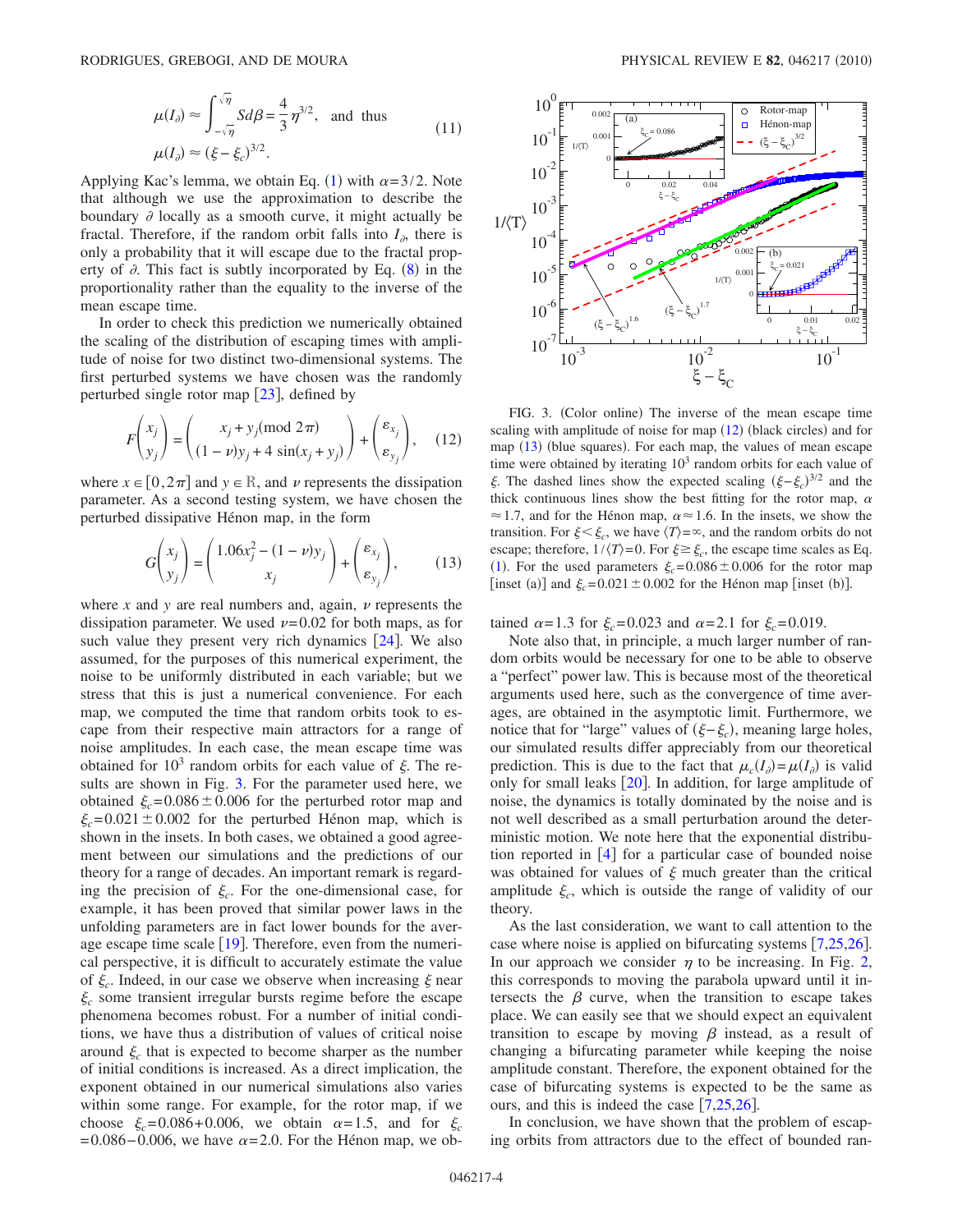$$
\mu(I_{\partial}) \approx \int_{-\sqrt{\eta}}^{\sqrt{\eta}} S d\beta = \frac{4}{3} \eta^{3/2}, \text{ and thus}
$$
\n
$$
\mu(I_{\partial}) \approx (\xi - \xi_{c})^{3/2}.
$$
\n(11)

Applying Kac's lemma, we obtain Eq. ([1](#page-0-1)) with  $\alpha = 3/2$ . Note that although we use the approximation to describe the boundary  $\partial$  locally as a smooth curve, it might actually be fractal. Therefore, if the random orbit falls into  $I_{\alpha}$ , there is only a probability that it will escape due to the fractal property of  $\partial$ . This fact is subtly incorporated by Eq. ([8](#page-2-2)) in the proportionality rather than the equality to the inverse of the mean escape time.

In order to check this prediction we numerically obtained the scaling of the distribution of escaping times with amplitude of noise for two distinct two-dimensional systems. The first perturbed systems we have chosen was the randomly perturbed single rotor map  $\lceil 23 \rceil$  $\lceil 23 \rceil$  $\lceil 23 \rceil$ , defined by

<span id="page-3-1"></span>
$$
F\begin{pmatrix} x_j \\ y_j \end{pmatrix} = \begin{pmatrix} x_j + y_j \pmod{2\pi} \\ (1 - \nu)y_j + 4\sin(x_j + y_j) \end{pmatrix} + \begin{pmatrix} \varepsilon_{x_j} \\ \varepsilon_{y_j} \end{pmatrix}, \quad (12)
$$

<span id="page-3-2"></span>where  $x \in [0, 2\pi]$  and  $y \in \mathbb{R}$ , and  $\nu$  represents the dissipation parameter. As a second testing system, we have chosen the perturbed dissipative Hénon map, in the form

$$
G\begin{pmatrix} x_j \\ y_j \end{pmatrix} = \begin{pmatrix} 1.06x_j^2 - (1 - \nu)y_j \\ x_j \end{pmatrix} + \begin{pmatrix} \varepsilon_{x_j} \\ \varepsilon_{y_j} \end{pmatrix},
$$
(13)

where  $x$  and  $y$  are real numbers and, again,  $\nu$  represents the dissipation parameter. We used  $\nu$ =0.02 for both maps, as for such value they present very rich dynamics  $[24]$  $[24]$  $[24]$ . We also assumed, for the purposes of this numerical experiment, the noise to be uniformly distributed in each variable; but we stress that this is just a numerical convenience. For each map, we computed the time that random orbits took to escape from their respective main attractors for a range of noise amplitudes. In each case, the mean escape time was obtained for  $10<sup>3</sup>$  random orbits for each value of  $\xi$ . The results are shown in Fig. [3.](#page-3-0) For the parameter used here, we obtained  $\xi_c=0.086\pm0.006$  for the perturbed rotor map and  $\xi_c$ =0.021 ± 0.002 for the perturbed Hénon map, which is shown in the insets. In both cases, we obtained a good agreement between our simulations and the predictions of our theory for a range of decades. An important remark is regarding the precision of  $\xi_c$ . For the one-dimensional case, for example, it has been proved that similar power laws in the unfolding parameters are in fact lower bounds for the average escape time scale  $[19]$  $[19]$  $[19]$ . Therefore, even from the numerical perspective, it is difficult to accurately estimate the value of  $\xi_c$ . Indeed, in our case we observe when increasing  $\xi$  near  $\xi_c$  some transient irregular bursts regime before the escape phenomena becomes robust. For a number of initial conditions, we have thus a distribution of values of critical noise around  $\xi_c$  that is expected to become sharper as the number of initial conditions is increased. As a direct implication, the exponent obtained in our numerical simulations also varies within some range. For example, for the rotor map, if we choose  $\xi_c = 0.086 + 0.006$ , we obtain  $\alpha = 1.5$ , and for  $\xi_c$  $= 0.086 - 0.006$ , we have  $\alpha = 2.0$ . For the Hénon map, we ob-

<span id="page-3-0"></span>

FIG. 3. (Color online) The inverse of the mean escape time scaling with amplitude of noise for map ([12](#page-3-1)) (black circles) and for map ([13](#page-3-2)) (blue squares). For each map, the values of mean escape time were obtained by iterating  $10<sup>3</sup>$  random orbits for each value of  $\xi$ . The dashed lines show the expected scaling  $(\xi - \xi_c)^{3/2}$  and the thick continuous lines show the best fitting for the rotor map,  $\alpha$  $\approx$  1.7, and for the Hénon map,  $\alpha \approx$  1.6. In the insets, we show the transition. For  $\xi < \xi_c$ , we have  $\langle T \rangle = \infty$ , and the random orbits do not escape; therefore,  $1/\langle T \rangle = 0$ . For  $\xi \ge \xi_c$ , the escape time scales as Eq. ([1](#page-0-1)). For the used parameters  $\xi_c$ =0.086 ± 0.006 for the rotor map [inset (a)] and  $\xi_c = 0.021 \pm 0.002$  for the Hénon map [inset (b)].

tained  $\alpha = 1.3$  for  $\xi_c = 0.023$  and  $\alpha = 2.1$  for  $\xi_c = 0.019$ .

Note also that, in principle, a much larger number of random orbits would be necessary for one to be able to observe a "perfect" power law. This is because most of the theoretical arguments used here, such as the convergence of time averages, are obtained in the asymptotic limit. Furthermore, we notice that for "large" values of  $(\xi - \xi_c)$ , meaning large holes, our simulated results differ appreciably from our theoretical prediction. This is due to the fact that  $\mu_c(I_{\partial}) = \mu(I_{\partial})$  is valid only for small leaks  $\lceil 20 \rceil$  $\lceil 20 \rceil$  $\lceil 20 \rceil$ . In addition, for large amplitude of noise, the dynamics is totally dominated by the noise and is not well described as a small perturbation around the deterministic motion. We note here that the exponential distribution reported in  $[4]$  $[4]$  $[4]$  for a particular case of bounded noise was obtained for values of  $\xi$  much greater than the critical amplitude  $\xi_c$ , which is outside the range of validity of our theory.

As the last consideration, we want to call attention to the case where noise is applied on bifurcating systems  $[7,25,26]$  $[7,25,26]$  $[7,25,26]$  $[7,25,26]$  $[7,25,26]$ . In our approach we consider  $\eta$  to be increasing. In Fig. [2,](#page-2-0) this corresponds to moving the parabola upward until it intersects the  $\beta$  curve, when the transition to escape takes place. We can easily see that we should expect an equivalent transition to escape by moving  $\beta$  instead, as a result of changing a bifurcating parameter while keeping the noise amplitude constant. Therefore, the exponent obtained for the case of bifurcating systems is expected to be the same as ours, and this is indeed the case  $[7,25,26]$  $[7,25,26]$  $[7,25,26]$  $[7,25,26]$  $[7,25,26]$ .

In conclusion, we have shown that the problem of escaping orbits from attractors due to the effect of bounded ran